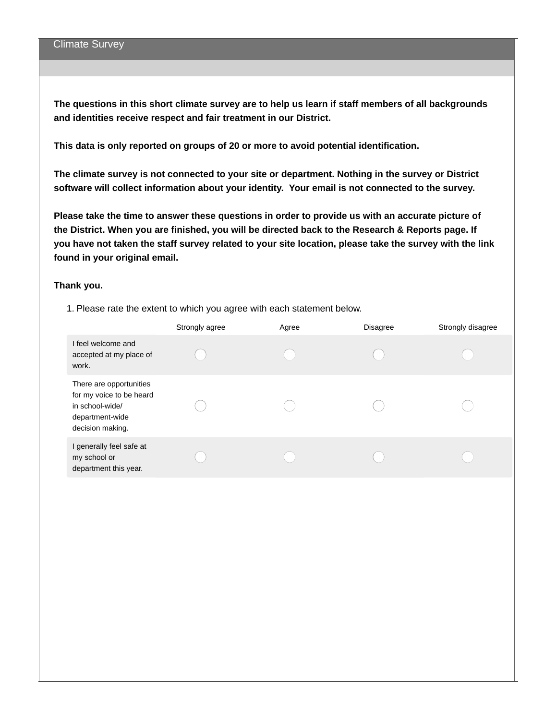The questions in this short climate survey are to help us learn if staff members of all backgrounds **and identities receive respect and fair treatment in our District.**

**This data is only reported on groups of 20 or more to avoid potential identification.**

**The climate survey is not connected to your site or department. Nothing in the survey or District software will collect information about your identity. Your email is not connected to the survey.**

**Please take the time to answer these questions in order to provide us with an accurate picture of the District. When you are finished, you will be directed back to the Research & Reports page. If** you have not taken the staff survey related to your site location, please take the survey with the link **found in your original email.**

#### **Thank you.**

1. Please rate the extent to which you agree with each statement below.

|                                                                                                               | Strongly agree | Agree | <b>Disagree</b> | Strongly disagree |
|---------------------------------------------------------------------------------------------------------------|----------------|-------|-----------------|-------------------|
| I feel welcome and<br>accepted at my place of<br>work.                                                        |                |       |                 |                   |
| There are opportunities<br>for my voice to be heard<br>in school-wide/<br>department-wide<br>decision making. |                |       |                 |                   |
| I generally feel safe at<br>my school or<br>department this year.                                             |                |       |                 |                   |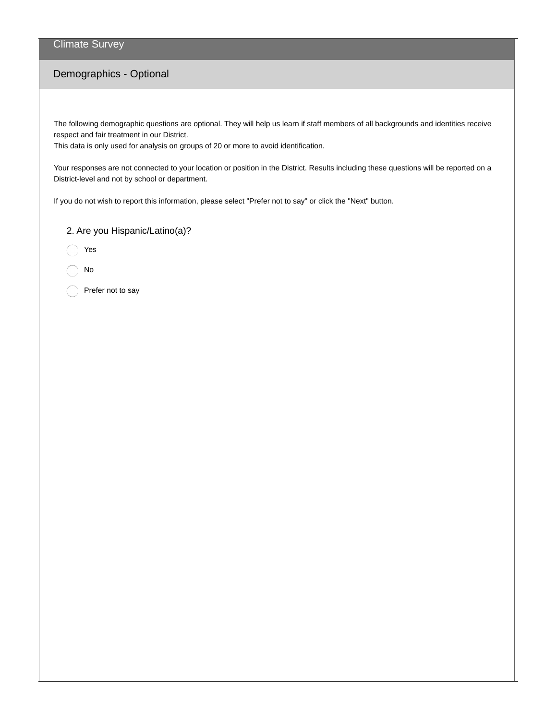### Climate Survey

# Demographics - Optional

The following demographic questions are optional. They will help us learn if staff members of all backgrounds and identities receive respect and fair treatment in our District.

This data is only used for analysis on groups of 20 or more to avoid identification.

Your responses are not connected to your location or position in the District. Results including these questions will be reported on a District-level and not by school or department.

If you do not wish to report this information, please select "Prefer not to say" or click the "Next" button.

2. Are you Hispanic/Latino(a)?

Yes

No

Prefer not to say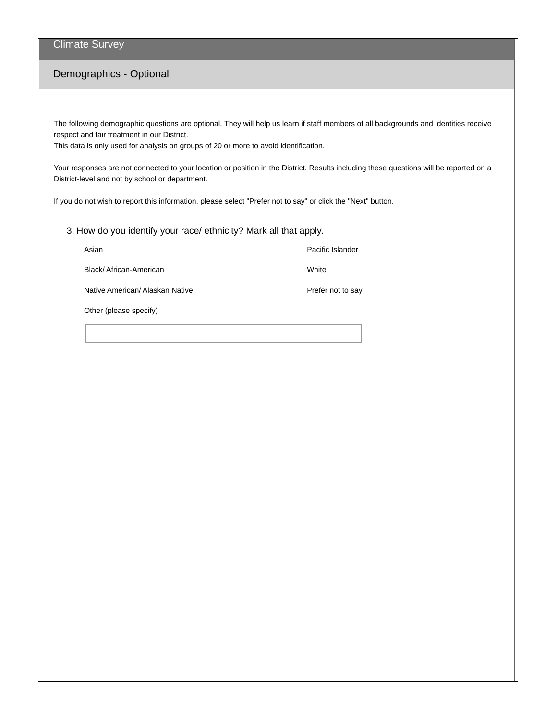#### Climate Survey

# Demographics - Optional

The following demographic questions are optional. They will help us learn if staff members of all backgrounds and identities receive respect and fair treatment in our District.

This data is only used for analysis on groups of 20 or more to avoid identification.

Your responses are not connected to your location or position in the District. Results including these questions will be reported on a District-level and not by school or department.

If you do not wish to report this information, please select "Prefer not to say" or click the "Next" button.

3. How do you identify your race/ ethnicity? Mark all that apply.

| Asian                           | Pacific Islander  |
|---------------------------------|-------------------|
| Black/African-American          | White             |
| Native American/ Alaskan Native | Prefer not to say |
| Other (please specify)          |                   |
|                                 |                   |